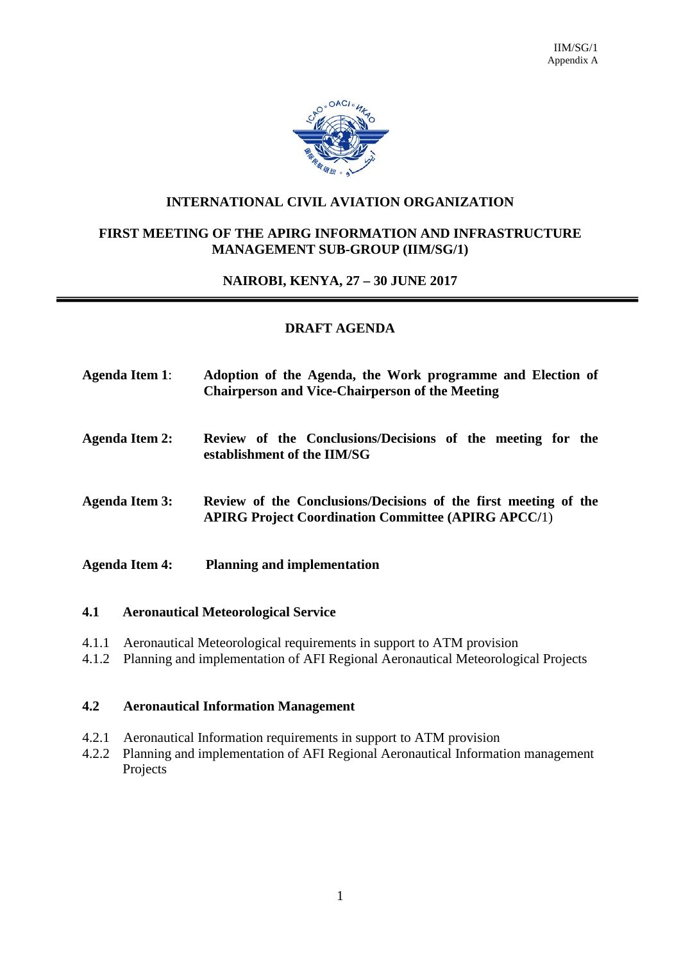

### **INTERNATIONAL CIVIL AVIATION ORGANIZATION**

### **FIRST MEETING OF THE APIRG INFORMATION AND INFRASTRUCTURE MANAGEMENT SUB-GROUP (IIM/SG/1)**

#### **NAIROBI, KENYA, 27 – 30 JUNE 2017**

#### **DRAFT AGENDA**

- **Agenda Item 1**: **Adoption of the Agenda, the Work programme and Election of Chairperson and Vice-Chairperson of the Meeting**
- **Agenda Item 2: Review of the Conclusions/Decisions of the meeting for the establishment of the IIM/SG**
- **Agenda Item 3: Review of the Conclusions/Decisions of the first meeting of the APIRG Project Coordination Committee (APIRG APCC/**1)
- **Agenda Item 4: Planning and implementation**

#### **4.1 Aeronautical Meteorological Service**

- 4.1.1 Aeronautical Meteorological requirements in support to ATM provision
- 4.1.2 Planning and implementation of AFI Regional Aeronautical Meteorological Projects

#### **4.2 Aeronautical Information Management**

- 4.2.1 Aeronautical Information requirements in support to ATM provision
- 4.2.2 Planning and implementation of AFI Regional Aeronautical Information management Projects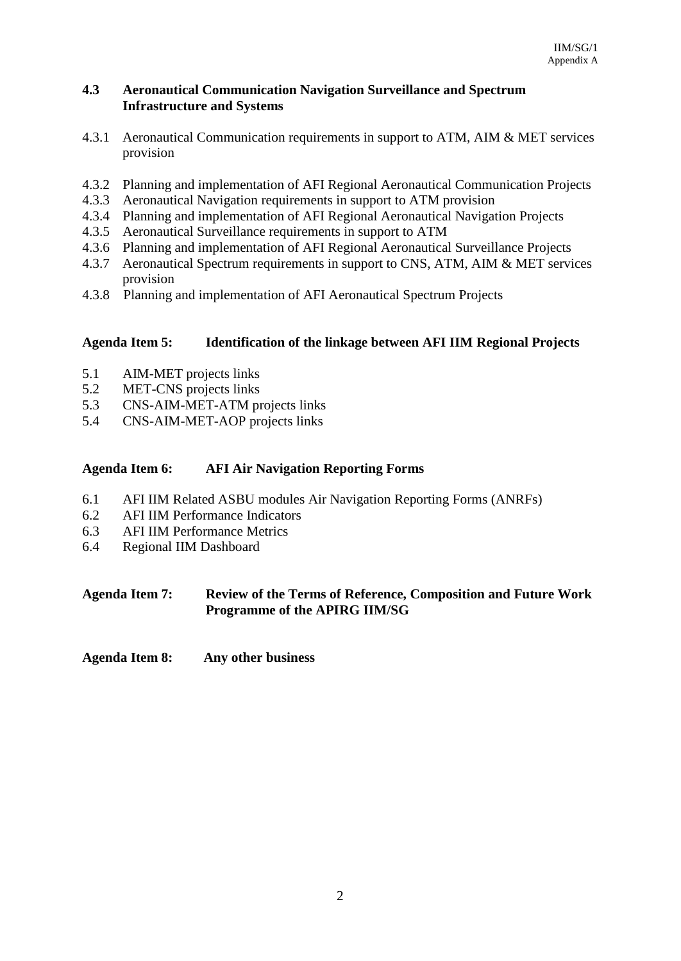## **4.3 Aeronautical Communication Navigation Surveillance and Spectrum Infrastructure and Systems**

- 4.3.1 Aeronautical Communication requirements in support to ATM, AIM & MET services provision
- 4.3.2 Planning and implementation of AFI Regional Aeronautical Communication Projects
- 4.3.3 Aeronautical Navigation requirements in support to ATM provision
- 4.3.4 Planning and implementation of AFI Regional Aeronautical Navigation Projects
- 4.3.5 Aeronautical Surveillance requirements in support to ATM
- 4.3.6 Planning and implementation of AFI Regional Aeronautical Surveillance Projects
- 4.3.7 Aeronautical Spectrum requirements in support to CNS, ATM, AIM & MET services provision
- 4.3.8 Planning and implementation of AFI Aeronautical Spectrum Projects

# **Agenda Item 5: Identification of the linkage between AFI IIM Regional Projects**

- 5.1 AIM-MET projects links
- 5.2 MET-CNS projects links
- 5.3 CNS-AIM-MET-ATM projects links
- 5.4 CNS-AIM-MET-AOP projects links

## **Agenda Item 6: AFI Air Navigation Reporting Forms**

- 6.1 AFI IIM Related ASBU modules Air Navigation Reporting Forms (ANRFs)
- 6.2 AFI IIM Performance Indicators
- 6.3 AFI IIM Performance Metrics
- 6.4 Regional IIM Dashboard

# **Agenda Item 7: Review of the Terms of Reference, Composition and Future Work Programme of the APIRG IIM/SG**

**Agenda Item 8: Any other business**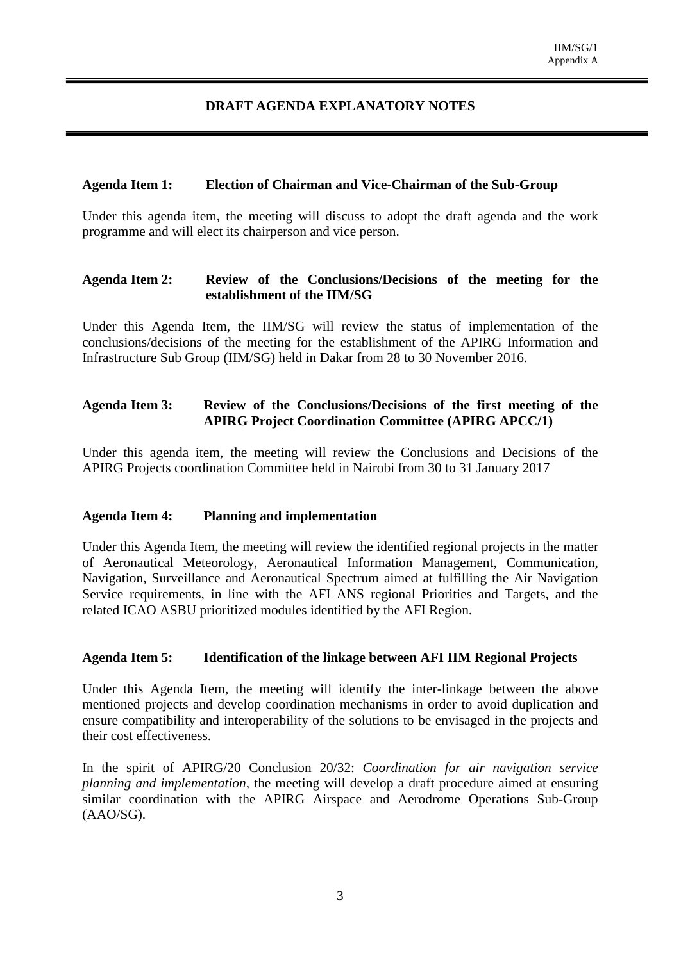## **DRAFT AGENDA EXPLANATORY NOTES**

#### **Agenda Item 1: Election of Chairman and Vice-Chairman of the Sub-Group**

Under this agenda item, the meeting will discuss to adopt the draft agenda and the work programme and will elect its chairperson and vice person.

### **Agenda Item 2: Review of the Conclusions/Decisions of the meeting for the establishment of the IIM/SG**

Under this Agenda Item, the IIM/SG will review the status of implementation of the conclusions/decisions of the meeting for the establishment of the APIRG Information and Infrastructure Sub Group (IIM/SG) held in Dakar from 28 to 30 November 2016.

## **Agenda Item 3: Review of the Conclusions/Decisions of the first meeting of the APIRG Project Coordination Committee (APIRG APCC/1)**

Under this agenda item, the meeting will review the Conclusions and Decisions of the APIRG Projects coordination Committee held in Nairobi from 30 to 31 January 2017

#### **Agenda Item 4: Planning and implementation**

Under this Agenda Item, the meeting will review the identified regional projects in the matter of Aeronautical Meteorology, Aeronautical Information Management, Communication, Navigation, Surveillance and Aeronautical Spectrum aimed at fulfilling the Air Navigation Service requirements, in line with the AFI ANS regional Priorities and Targets, and the related ICAO ASBU prioritized modules identified by the AFI Region.

#### **Agenda Item 5: Identification of the linkage between AFI IIM Regional Projects**

Under this Agenda Item, the meeting will identify the inter-linkage between the above mentioned projects and develop coordination mechanisms in order to avoid duplication and ensure compatibility and interoperability of the solutions to be envisaged in the projects and their cost effectiveness.

In the spirit of APIRG/20 Conclusion 20/32: *Coordination for air navigation service planning and implementation,* the meeting will develop a draft procedure aimed at ensuring similar coordination with the APIRG Airspace and Aerodrome Operations Sub-Group (AAO/SG).